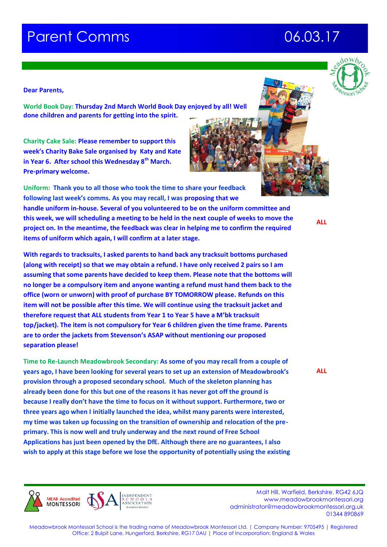# **Parent Comms 66.03.17**

## **Dear Parents,**

**World Book Day: Thursday 2nd March World Book Day enjoyed by all! Well done children and parents for getting into the spirit.**

**Charity Cake Sale: Please remember to support this week's Charity Bake Sale organised by Katy and Kate in Year 6. After school this Wednesday 8th March. Pre-primary welcome.**

**Uniform: Thank you to all those who took the time to share your feedback following last week's comms. As you may recall, I was proposing that we handle uniform in-house. Several of you volunteered to be on the uniform committee and this week, we will scheduling a meeting to be held in the next couple of weeks to move the project on. In the meantime, the feedback was clear in helping me to confirm the required items of uniform which again, I will confirm at a later stage.**

**With regards to tracksuits, I asked parents to hand back any tracksuit bottoms purchased (along with receipt) so that we may obtain a refund. I have only received 2 pairs so I am assuming that some parents have decided to keep them. Please note that the bottoms will no longer be a compulsory item and anyone wanting a refund must hand them back to the office (worn or unworn) with proof of purchase BY TOMORROW please. Refunds on this item will not be possible after this time. We will continue using the tracksuit jacket and therefore request that ALL students from Year 1 to Year 5 have a M'bk tracksuit top/jacket). The item is not compulsory for Year 6 children given the time frame. Parents are to order the jackets from Stevenson's ASAP without mentioning our proposed separation please!**

**Time to Re-Launch Meadowbrook Secondary: As some of you may recall from a couple of years ago, I have been looking for several years to set up an extension of Meadowbrook's provision through a proposed secondary school. Much of the skeleton planning has already been done for this but one of the reasons it has never got off the ground is because I really don't have the time to focus on it without support. Furthermore, two or three years ago when I initially launched the idea, whilst many parents were interested, my time was taken up focussing on the transition of ownership and relocation of the preprimary. This is now well and truly underway and the next round of Free School Applications has just been opened by the DfE. Although there are no guarantees, I also wish to apply at this stage before we lose the opportunity of potentially using the existing**

 Malt Hill, Warfield, Berkshire, RG42 6JQ www.meadowbrookmontessori.org [administrator@meadowbrookmontessori.org.uk](mailto:administrator@meadowbrookmontessori.org.uk) 01344 890869

Meadowbrook Montessori School is the trading name of Meadowbrook Montessori Ltd. | Company Number: 9705495 | Registered Office: 2 Bulpit Lane, Hungerford, Berkshire, RG17 0AU | Place of Incorporation: England & Wales

**ALL**



**ALL**









**MEAR Accredited MONTESSORI**